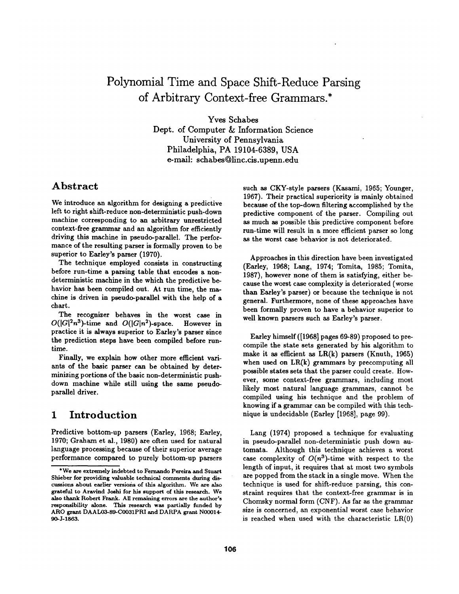# **Polynomial Time and Space Shift-Reduce Parsing of Arbitrary Context-free Grammars.\***

Yves Schabes Dept. of Computer & Information Science University of Pennsylvania Philadelphia, PA 19104-6389, USA e-mail: schabes@linc.cis.upenn.edu

#### **Abstract**

We introduce an algorithm for designing a predictive left to right shift-reduce non-deterministic push-down machine corresponding to an arbitrary unrestricted context-free grammar and an algorithm for efficiently driving this machine in pseudo-parallel. The performance of the resulting parser is formally proven to be superior to Earley's parser (1970).

The technique employed consists in constructing before run-time a parsing table that encodes a nondeterministic machine in the which the predictive behavior has been compiled out. At run time, the machine is driven in pseudo-parallel with the help of a chart.

The recognizer behaves in the worst case in  $O(|G|^2n^3)$ -time and  $O(|G|n^2)$ -space. However in practice it is always superior to Earley's parser since the prediction steps have been compiled before runtime.

Finally, we explain how other more efficient variants of the basic parser can be obtained by determinizing portions of the basic non-deterministic pushdown machine while still using the same pseudoparallel driver.

#### **1 Introduction**

Predictive bottom-up parsers (Earley, 1968; Earley, 1970; Graham et al., 1980) are often used for natural language processing because of their superior average performance compared to purely bottom-up parsers

such as CKY-style parsers (Kasami, 1965; Younger, 1967). Their practical superiority is mainly obtained because of the top-down filtering accomplished by the predictive component of the parser. Compiling out as much as possible this predictive component before run-time will result in a more efficient parser so long as the worst case behavior is not deteriorated.

Approaches in this direction have been investigated (Earley, 1968; Lang, 1974; Tomita, 1985; Tomita, 1987), however none of them is satisfying, either because the worst case complexity is deteriorated (worse than Earley's parser) or because the technique is not general. Furthermore, none of these approaches have been formally proven to have a behavior superior to well known parsers such as Earley's parser.

Earley himself ([1968] pages 69-89) proposed to precompile the state sets generated by his algorithm to make it as efficient as  $LR(k)$  parsers (Knuth, 1965) when used on  $LR(k)$  grammars by precomputing all possible states sets that the parser could create. However, some context-free grammars, including most likely most natural language grammars, cannot be compiled using his technique and the problem of knowing if a grammar can be compiled with this technique is undecidable (Earley [1968], page 99).

Lang (1974) proposed a technique for evaluating in pseudo-parallel non-deterministic push down automata. Although this technique achieves a worst case complexity of  $O(n^3)$ -time with respect to the length of input, it requires that at most two symbols are popped from the stack in a single move. When the technique is used for shift-reduce parsing, this constraint requires that the context-free grammar is in Chomsky normal form (CNF). As far as the grammar size is concerned, an exponential worst case behavior is reached when used with the characteristic LR(0)

<sup>\*</sup>We are extremely indebted to Fernando Pereira and Stuart Shieber for providing valuable technical comments during discussions about earlier versions of this algorithm. We are also grateful to Aravind Joehi for his support of this research. We also thank Robert Frank. All remaining errors are the author's responsibility alone. This research was partially funded by ARO grant DAAL03-89-C0031PRI and DARPA grant N00014- 90-J-1863.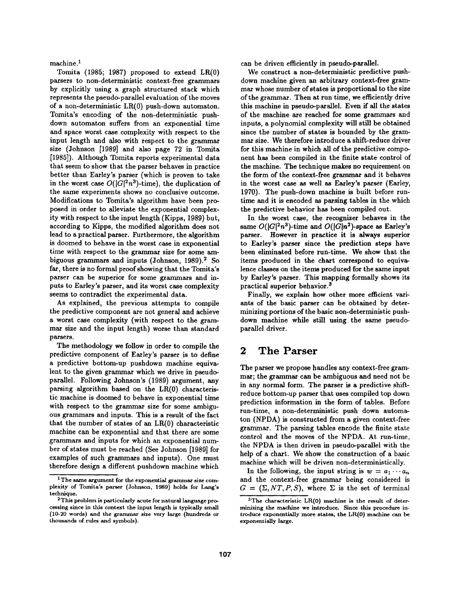machine.<sup>1</sup>

Tomita (1985; 1987) proposed to extend LR(0) parsers to non-deterministic context-free grammars by explicitly using a graph structured stack which represents the pseudo-parallel evaluation of the moves of a non-deterministic LR(0) push-down automaton. Tomita's encoding of the non-deterministic pushdown automaton suffers from an exponential time and space worst case complexity with respect to the input length and also with respect to the grammar size (Johnson [1989] and also page 72 in Tomita [1985]). Although Tomita reports experimental data that seem to show that the parser behaves in practice better than Earley's parser (which is proven to take in the worst case  $O(|G|^2n^3)$ -time), the duplication of the same experiments shows no conclusive outcome. Modifications to Tomita's algorithm have been proposed in order to alleviate the exponential complexity with respect to the input length (Kipps, 1989) but, according to Kipps, the modified algorithm does not lead to a practical parser. Furthermore, the algorithm is doomed to behave in the worst case in exponential time with respect to the grammar size for some ambiguous grammars and inputs (Johnson, 1989).<sup>2</sup> So far, there is no formal proof showing that the Tomita's parser can be superior for some grammars and inputs to Earley's parser, and its worst case complexity seems to contradict the experimental data.

As explained, the previous attempts to compile the predictive component are not general and achieve a worst case complexity (with respect to the grammar size and the input length) worse than standard parsers.

The methodology we follow in order to compile the predictive component of Earley's parser is to define a predictive bottom-up pushdown machine equivalent to the given grammar which we drive in pseudoparallel. Following Johnson's (1989) argument, any parsing algorithm based on the LR(0) characteristic machine is doomed to behave in exponential time with respect to the grammar size for some ambiguous grammars and inputs. This is a result of the fact that the number of states of an LR(0) characteristic machine can be exponential and that there are some grammars and inputs for which an exponential number of states must be reached (See Johnson [1989] for examples of such grammars and inputs). One must therefore design a different pushdown machine which

can be driven efficiently in pseudo-parallel.

We construct a non-deterministic predictive pushdown machine given an arbitrary context-free grammar whose number of states is proportional to the size of the grammar. Then at run time, we efficiently drive this machine in pseudo-parallel. Even if all the states of the machine are reached for some grammars and inputs, a polynomial complexity will still be obtained since the number of states is bounded by the grammar size. We therefore introduce a shift-reduce driver for this machine in which all of the predictive component has been compiled in the finite state control of the machine. The technique makes no requirement on the form of the context-free grammar and it behaves in the worst case as well as Earley's parser (Earley, 1970). The push-down machine is built before runtime and it is encoded as parsing tables in the which the predictive behavior has been compiled out.

In the worst case, the recognizer behaves in the same  $O(|G|^2n^3)$ -time and  $O(|G|n^2)$ -space as Earley's parser. However in practice it is always superior to Earley's parser since the prediction steps have been eliminated before run-time. We show that the items produced in the chart correspond to equivalence classes on the items produced for the same input by Earley's parser. This mapping formally shows its practical superior behavior. 3

Finally, we explain how other more efficient variants of the basic parser can be obtained by determinizing portions of the basic non-deterministic pushdown machine while still using the same pseudoparallel driver.

#### **2 The Parser**

The parser we propose handles any context-free grammar; the grammar can be ambiguous and need not be in any normal form. The parser is a predictive shiftreduce bottom-up parser that uses compiled top down prediction information in the form of tables. Before run-time, a non-deterministic push down automaton (NPDA) is constructed from a given context-free grammar. The parsing tables encode the finite state control and the moves of the NPDA. At run-time, the NPDA is then driven in pseudo-parallel with the help of a chart. We show the construction of a basic machine which will be driven non-deterministically.

In the following, the input string is  $w = a_1 \cdots a_n$ and the context-free grammar being considered is  $G = (\Sigma, NT, P, S)$ , where  $\Sigma$  is the set of terminal

 $1$  The same argument for the exponential grammar size complexity of Tomita's parser (Johnson, 1989) holds for Lang's technique.

<sup>&</sup>lt;sup>2</sup>This problem is particularly acute for natural language processing since in this context the input length is typically small (10-20 words) and the granunar size very large (hundreds or thousands of rules and symbols).

<sup>&</sup>lt;sup>3</sup>The characteristic LR(0) machine is the result of determinizing the machine we introduce. Since this procedure introduce exponentially more states, the LR(0) machine can be exponentially large.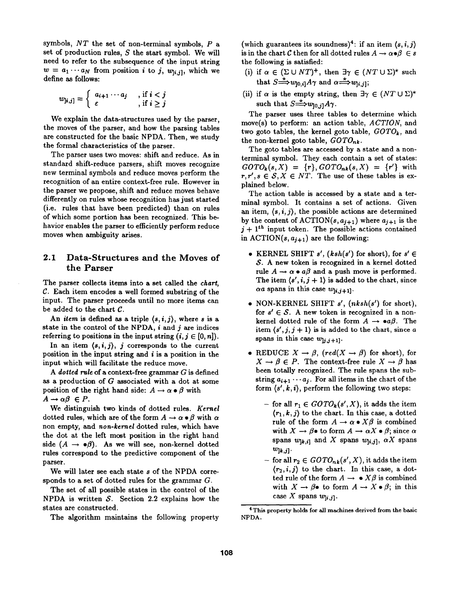symbols, *NT* the set of non-terminal symbols, P a set of production rules,  $S$  the start symbol. We will need to refer to the subsequence of the input string  $w = a_1 \cdots a_N$  from position *i* to *j*,  $w_{[i,j]}$ , which we define as follows:

$$
w_{j_i,j} = \left\{ \begin{array}{ll} a_{i+1} \cdots a_j, & \text{if } i < j \\ \varepsilon, & \text{if } i \geq j \end{array} \right.
$$

We explain the data-structures used by the parser, the moves of the parser, and how the parsing tables are constructed for the basic NPDA. Then, we study the formal characteristics of the parser.

The parser uses two moves: shift and reduce. As in standard shift-reduce parsers, shift moves recognize new terminal symbols and reduce moves perform the recognition of an entire context-free rule. However in the parser we propose, shift and reduce moves behave differently on rules whose recognition has just started (i.e. rules that have been predicted) than on rules of which some portion has been recognized. This behavior enables the parser to efficiently perform reduce moves when ambiguity arises.

#### **2.1 Data-Structures and the Moves of the Parser**

The parser collects items into a set called the *chart,*   $C$ . Each item encodes a well formed substring of the input. The parser proceeds until no more items can be added to the chart C.

An *item* is defined as a triple  $\langle s, i, j \rangle$ , where s is a state in the control of the NPDA,  $i$  and  $j$  are indices referring to positions in the input string  $(i, j \in [0, n])$ .

In an item  $\langle s, i, j \rangle$ , *j* corresponds to the current position in the input string and  $i$  is a position in the input which will facilitate the reduce move.

*A dotted rule* of a context-free grammar G is defined as a production of G associated with a dot at some position of the right hand side:  $A \rightarrow \alpha \bullet \beta$  with  $A \rightarrow \alpha \beta \in P$ .

We distinguish two kinds of dotted rules. *Kernel*  dotted rules, which are of the form  $A \rightarrow \alpha \bullet \beta$  with  $\alpha$ non empty, and *non-kernel* dotted rules, which have the dot at the left most position in the right hand side  $(A \rightarrow \bullet \beta)$ . As we will see, non-kernel dotted rules correspond to the predictive component of the parser.

We will later see each state s of the NPDA corresponds to a set of dotted rules for the grammar  $G$ .

The set of all possible states in the control of the NPDA is written  $S$ . Section 2.2 explains how the states are constructed.

The algorithm maintains the following property

(which guarantees its soundness)<sup>4</sup>: if an item  $\langle s, i, j \rangle$ is in the chart C then for all dotted rules  $A \rightarrow \alpha \bullet \beta \in s$ the following is satisfied:

- (i) if  $\alpha \in (\Sigma \cup NT)^+$ , then  $\exists \gamma \in (NT \cup \Sigma)^*$  such that  $S \stackrel{\star}{\Longrightarrow} w_{[0,i]} A \gamma$  and  $\alpha \stackrel{\star}{\Longrightarrow} w_{[i,j]};$
- (ii) if  $\alpha$  is the empty string, then  $\exists \gamma \in (NT \cup \Sigma)^*$ such that  $S \stackrel{*}{\Longrightarrow} w_{10}$ ,  $A \gamma$ .

The parser uses three tables to determine which move(s) to perform: an action table, *ACTION,* and two goto tables, the kernel goto table,  $GOTO_k$ , and the non-kernel goto table, *GOTOnk.* 

The goto tables are accessed by a state and a nonterminal symbol. They each contain a set of states:  $GOTO_k(s, X) = \{r\}, GOTO_{nk}(s, X) = \{r'\}$  with  $r, r', s \in S, X \in NT$ . The use of these tables is explained below.

The action table is accessed by a state and a terminal symbol. It contains a set of actions. Given an item,  $\langle s, i, j \rangle$ , the possible actions are determined by the content of  $\text{ACTION}(s, a_{i+1})$  where  $a_{i+1}$  is the  $j + 1$ <sup>th</sup> input token. The possible actions contained in ACTION( $s, a_{i+1}$ ) are the following:

- KERNEL SHIFT  $s'$ ,  $(ksh(s')$  for short), for  $s' \in$ S. A new token is recognized in a kernel dotted rule  $A \rightarrow \alpha \bullet a\beta$  and a push move is performed. The item  $\langle s', i, j+1 \rangle$  is added to the chart, since  $\alpha a$  spans in this case  $w_{[i,j+1]}$ .
- NON-KERNEL SHIFT  $s'$ ,  $(nksh(s')$  for short), for  $s' \in S$ . A new token is recognized in a nonkernel dotted rule of the form  $A \rightarrow \bullet a\beta$ . The item  $\langle s', j, j+1 \rangle$  is is added to the chart, since a spans in this case  $w_{j,j+1}$ .
- REDUCE  $X \to \beta$ , (red( $X \to \beta$ ) for short), for  $X \to \beta \in P$ . The context-free rule  $X \to \beta$  has been totally recognized. The rule spans the substring  $a_{i+1} \cdots a_j$ . For all items in the chart of the form  $\langle s', k, i \rangle$ , perform the following two steps:
	- for all  $r_1 \in GOTO_k(s', X)$ , it adds the item  $\langle r_1, k, j \rangle$  to the chart. In this case, a dotted rule of the form  $A \to \alpha \bullet X\beta$  is combined with  $X \to \beta \bullet$  to form  $A \to \alpha X \bullet \beta$ ; since  $\alpha$ spans  $w_{[k,i]}$  and X spans  $w_{[i,j]}$ ,  $\alpha X$  spans  $w_{k,j}$ .
	- for all  $r_2 \in GOTO_{nk}(s', X)$ , it adds the item  $\langle r_2,i,j \rangle$  to the chart. In this case, a dotted rule of the form  $A \rightarrow \bullet X\beta$  is combined with  $X \to \beta \bullet$  to form  $A \to X \bullet \beta$ ; in this case X spans  $w_{[i,j]}$ .

<sup>4</sup>This property holds for all machines derived from the basic NPDA.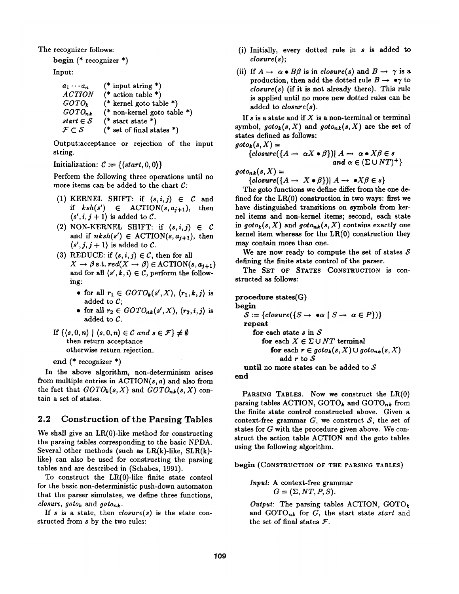The recognizer follows:

begin (\* recognizer \*) Input:

| $a_1 \cdots a_n$                  | $(*$ input string *)        |
|-----------------------------------|-----------------------------|
| <b>ACTION</b>                     | (* action table *)          |
| $GOTO_k$                          | (* kernel goto table *)     |
| $GOTO_{nk}$                       | (* non-kernel goto table *) |
| start $\in$ $S$                   | $(*$ start state *)         |
| $\mathcal{F} \subset \mathcal{S}$ | (* set of final states *)   |

Output:acceptance or rejection of the input string.

Initialization:  $C := \{ (start, 0, 0) \}$ 

Perform the following three operations until no more items can be added to the chart C:

- (1) KERNEL SHIFT: if  $\langle s, i, j \rangle \in \mathcal{C}$  and if  $ksh(s') \in \text{ACTION}(s, a_{j+1}), \text{ then}$  $\langle s', i, j+1 \rangle$  is added to C.
- (2) NON-KERNEL SHIFT: if  $\langle s, i, j \rangle \in \mathcal{C}$ and if  $nksh(s') \in \text{ACTION}(s, a_{i+1})$ , then  $\langle s', j, j+1 \rangle$  is added to C.
- (3) REDUCE: if  $\langle s, i, j \rangle \in \mathcal{C}$ , then for all  $X \to \beta$  s.t.  $red(X \to \beta) \in \text{ACTION}(s, a_{j+1})$ and for all  $\langle s', k, i \rangle \in \mathcal{C}$ , perform the following:
	- for all  $r_1 \in GOTO_k(s', X), \langle r_1, k, j \rangle$  is added to  $C$ ;
	- for all  $r_2 \in GOTO_{nk}(s', X), \langle r_2, i, j \rangle$  is added to  $C$ .
- If  $\{(s, 0, n) \mid (s, 0, n) \in \mathcal{C} \text{ and } s \in \mathcal{F}\}\neq \emptyset$ then return acceptance otherwise return rejection.

```
end (* recognizer *)
```
In the above algorithm, non-determinism arises from multiple entries in  $\text{ACTION}(s, a)$  and also from the fact that  $GOTO_k(s, X)$  and  $GOTO_{nk}(s, X)$  contain a set of states.

#### 2.2 Construction of the Parsing Tables

We shall give an  $LR(0)$ -like method for constructing the parsing tables corresponding to the basic NPDA. Several other methods (such as  $LR(k)$ -like,  $SLR(k)$ like) can also be used for constructing the parsing tables and are described in (Schabes, 1991).

To construct the LR(0)-like finite state control for the basic non-deterministic push-down automaton that the parser simulates, we define three functions, *closure, goto<sub>k</sub>* and  $goto_{nk}$ .

If s is a state, then *closure(s)* is the state constructed from s by the two rules:

- (i) Initially, every dotted rule in s is added to *closure(s);*
- (ii) If  $A \rightarrow \alpha \bullet B\beta$  is in *closure(s)* and  $B \rightarrow \gamma$  is a production, then add the dotted rule  $B \to \bullet \gamma$  to *closure(s)* (if it is not already there). This rule is applied until no more new dotted rules can be added to *closure(s).*

If  $s$  is a state and if  $X$  is a non-terminal or terminal symbol,  $goto_k(s, X)$  and  $goto_{nk}(s, X)$  are the set of states defined as follows:  $qoto_k(s, X) =$ 

$$
{\begin{aligned}\n\{closure(\lbrace A \rightarrow \alpha X \bullet \beta \rbrace) | A \rightarrow \alpha \bullet X \beta \in s \\
and \alpha \in (\Sigma \cup NT)^{+}\n\}\n\end{aligned}}
$$

 $qoto_{nk}(s, X) =$ 

 ${close({A \rightarrow X \bullet \beta}) | A \rightarrow \bullet X \beta \in s}$ 

The goto functions we define differ from the one defined for the LR(0) construction in two ways: first we have distinguished transitions on symbols from kernel items and non-kernel items; second, each state in  $goto_k(s, X)$  and  $goto_{nk}(s, X)$  contains exactly one kernel item whereas for the  $LR(0)$  construction they may contain more than one.

We are now ready to compute the set of states  $S$ defining the finite state control of the parser.

The SET OF STATES CONSTRUCTION is constructed as follows:

```
procedure states(G) 
begin 
   S := \{closure({S \rightarrow \bullet \alpha \mid S \rightarrow \ \alpha \in P})\}repeat 
       for each state s in Sfor each X \in \Sigma \cup NT terminal
             for each r \in \text{goto}_k(s, X) \cup \text{goto}_{nk}(s, X)add r to S 
   until no more states can be added to Send
```
PARSING TABLES. Now we construct the LR(0) parsing tables ACTION, GOTO<sub>k</sub> and GOTO<sub>nk</sub> from the finite state control constructed above. Given a context-free grammar  $G$ , we construct  $S$ , the set of states for G with the procedure given above. We construct the action table ACTION and the goto tables using the following algorithm.

begin (CONSTRUCTION OF THE PARSING TABLES)

*Input:* A context-free grammar  $G = (\Sigma, NT, P, S).$ 

*Output:* The parsing tables ACTION,  $GOTO_k$ and GOTOnk for G, the start state *start* and the set of final states  $F$ .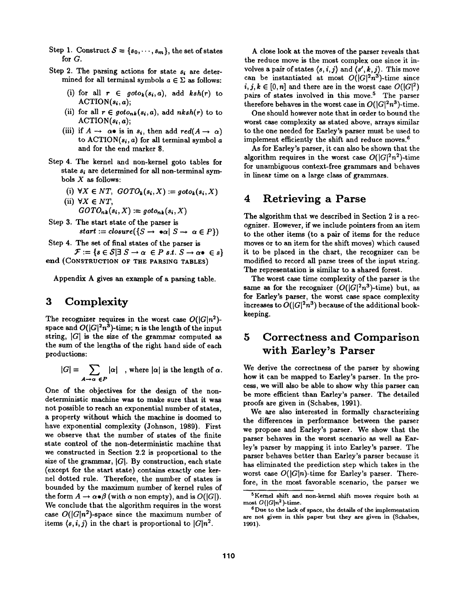- Step 1. Construct  $S = \{s_0, \dots, s_m\}$ , the set of states for G.
- Step 2. The parsing actions for state  $s_i$  are determined for all terminal symbols  $a \in \Sigma$  as follows:
	- (i) for all  $r \in \text{goto}_k(s_i, a)$ , add  $\text{ksh}(r)$  to  $\text{ACTION}(s_i, a)$ ;
	- (ii) for all  $r \in \text{goto}_{nk}(s_i, a)$ , add  $nksh(r)$  to to  $\text{ACTION}(s_i, a)$ ;
	- (iii) if  $A \rightarrow \alpha \bullet$  is in  $s_i$ , then add  $red(A \rightarrow \alpha)$ to  $\text{ACTION}(s_i, a)$  for all terminal symbol a and for the end marker \$.
- Step 4. The kernel and non-kernel goto tables for state  $s_i$  are determined for all non-terminal symbols  $X$  as follows:
	- (i)  $\forall X \in NT$ ,  $GOTO_k(s_i, X) := goto_k(s_i, X)$
	- (ii)  $\forall X \in NT$ ,  $GOTO_{nk}(s_i, X) := goto_{nk}(s_i, X)$
- Step 3. The start state of the parser is  $start := closure({S \rightarrow \bullet \alpha | S \rightarrow \alpha \in P})$
- Step 4. The set of final states of the parser is  $\mathcal{F} := \{s \in \mathcal{S} \mid \exists S \rightarrow \alpha \in P \text{ s.t. } S \rightarrow \alpha \bullet \in s\}$

end (CONSTRUCTION OF THE PARSING TABLES)

Appendix A gives an example of a parsing table.

## **3 Complexity**

The recognizer requires in the worst case  $O(|G|n^2)$ space and  $O(|G|^2n^3)$ -time; n is the length of the input string,  $|G|$  is the size of the grammar computed as the sum of the lengths of the right hand side of each productions:

$$
|G| = \sum_{A \to \alpha \in P} |\alpha| \quad, \text{ where } |\alpha| \text{ is the length of } \alpha.
$$

One of the objectives for the design of the nondeterministic machine was to make sure that it was not possible to reach an exponential number of states, a property without which the machine is doomed to have exponential complexity (Johnson, 1989). First we observe that the number of states of the finite state control of the non-deterministic machine that we constructed in Section 2.2 is proportional to the size of the grammar,  $|G|$ . By construction, each state (except for the start state) contains exactly one kernel dotted rule. Therefore, the number of states is bounded by the maximum number of kernel rules of the form  $A \to \alpha \bullet \beta$  (with  $\alpha$  non empty), and is  $O(|G|)$ . We conclude that the algorithm requires in the worst case  $O(|G|n^2)$ -space since the maximum number of items  $\langle s, i, j \rangle$  in the chart is proportional to  $|G|n^2$ .

A close look at the moves of the parser reveals that the reduce move is the most complex one since it involves a pair of states  $\langle s, i, j \rangle$  and  $\langle s', k, j \rangle$ . This move can be instantiated at most  $O(|G|^2n^3)$ -time since  $i, j, k \in [0, n]$  and there are in the worst case  $O(|G|^2)$ pairs of states involved in this move.<sup>5</sup> The parser therefore behaves in the worst case in  $O(|G|^2n^3)$ -time.

One should however note that in order to bound the worst case complexity as stated above, arrays similar to the one needed for Earley's parser must be used to implement efficiently the shift and reduce moves. 6

As for Earley's parser, it can also be shown that the algorithm requires in the worst case  $O(|G|^2n^2)$ -time for unambiguous context-free grammars and behaves in linear time on a large class of grammars.

#### **4 Retrieving a Parse**

The algorithm that we described in Section 2 is a recognizer. However, if we include pointers from an item to the other items (to a pair of items for the reduce moves or to an item for the shift moves) which caused it to be placed in the chart, the recognizer can be modified to record all parse trees of the input string. The representation is similar to a shared forest.

The worst case time complexity of the parser is the same as for the recognizer  $(O(|G|^2n^3)$ -time) but, as for Earley's parser, the worst case space complexity increases to  $O(|G|^2n^3)$  because of the additional bookkeeping.

## **5 Correctness and Comparison with Earley's Parser**

We derive the correctness of the parser by showing how it can be mapped to Earley's parser. In the process, we will also be able to show why this parser can be more efficient than Earley's parser. The detailed proofs are given in (Schabes, 1991).

We are also interested in formally characterizing the differences in performance between the parser we propose and Earley's parser. We show that the parser behaves in the worst scenario as well as Earley's parser by mapping it into Earley's parser. The parser behaves better than Earley's parser because it has eliminated the prediction step which takes in the worst case  $O(|G|n)$ -time for Earley's parser. Therefore, in the most favorable scenario, the parser we

SKerael shift and non-kernel shift moves require both at most  $O(|G|n^2)$ -time.

<sup>6</sup>Due to the lack of space, the details of the implementation are not given in this paper but they are given in (Schabes, 1991).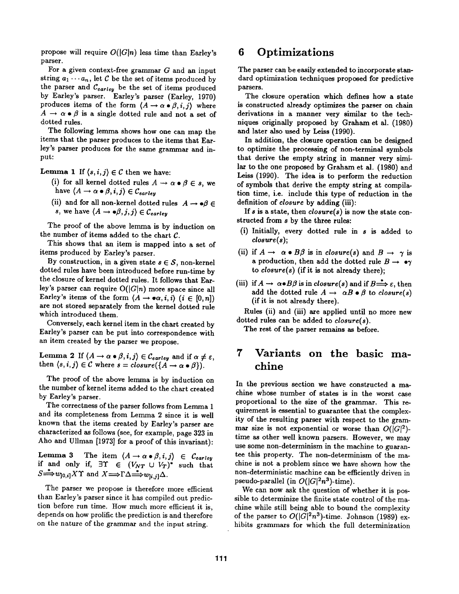propose will require  $O(|G|n)$  less time than Earley's parser.

For a given context-free grammar G and an input string  $a_1 \cdots a_n$ , let C be the set of items produced by the parser and  $C_{earley}$  be the set of items produced by Earley's parser. Earley's parser (Earley, 1970) produces items of the form  $(A \rightarrow \alpha \bullet \beta, i, j)$  where  $A \rightarrow \alpha \bullet \beta$  is a single dotted rule and not a set of dotted rules.

The following lemma shows how one can map the items that the parser produces to the items that Earley's parser produces for the same grammar and input:

**Lemma 1** If  $\langle s, i, j \rangle \in \mathcal{C}$  then we have:

- (i) for all kernel dotted rules  $A \rightarrow \alpha \bullet \beta \in s$ , we have  $\langle A \rightarrow \alpha \bullet \beta, i, j \rangle \in \mathcal{C}_{earley}$
- (ii) and for all non-kernel dotted rules  $A \rightarrow \bullet \beta \in \mathbb{R}$ *s*, we have  $\langle A \rightarrow \bullet \beta, j, j \rangle \in \mathcal{C}_{earley}$

The proof of the above lemma is by induction on the number of items added to the chart C.

This shows that an item is mapped into a set of items produced by Earley's parser.

By construction, in a given state  $s \in \mathcal{S}$ , non-kernel dotted rules have been introduced before run-time by the closure of kernel dotted rules. It follows that Earley's parser can require  $O(|G|n)$  more space since all Earley's items of the form  $\langle A \rightarrow \bullet \alpha, i, i \rangle$   $(i \in [0, n])$ are not stored separately from the kernel dotted rule which introduced them.

Conversely, each kernel item in the chart created by Earley's parser can be put into correspondence with an item created by the parser we propose.

Lemma 2 If  $\langle A \rightarrow \alpha \bullet \beta, i, j \rangle \in \mathcal{C}_{earley}$  and if  $\alpha \neq \varepsilon$ , then  $\langle s, i, j \rangle \in \mathcal{C}$  where  $s = closure(\lbrace A \rightarrow \alpha \bullet \beta \rbrace)$ .

The proof of the above lemma is by induction on the number of kernel items added to the chart created by Earley's parser.

The correctness of the parser follows from Lemma 1 and its completeness from Lemma 2 since it is well known that the items created by Earley's parser are characterized as follows (see, for example, page 323 in Aho and Ullman [1973] for a proof of this invariant):

Lemma 3 The item  $\langle A \rightarrow \alpha \bullet \beta, i, j \rangle \in \mathcal{C}_{earley}$ if and only if,  $\exists \Upsilon \in (V_{NT} \cup V_T)^*$  such that  $S \longrightarrow w_{[0,i]} X \Upsilon$  and  $X \longrightarrow \Gamma \Delta \longrightarrow w_{[i,j]} \Delta$ .

The parser we propose is therefore more efficient than Earley's parser since it has compiled out prediction before run time. How much more efficient it is, depends on how prolific the prediction is and therefore on the nature of the grammar and the input string.

#### **6 Optimizations**

The parser can be easily extended to incorporate standard optimization techniques proposed for predictive parsers.

The closure operation which defines how a state is constructed already optimizes the parser on chain derivations in a manner very similar to the techniques originally proposed by Graham et al. (1980) and later also used by Leiss (1990).

In addition, the closure operation can be designed to optimize the processing of non-terminal symbols that derive the empty string in manner very similar to the one proposed by Graham et al. (1980) and Leiss (1990). The idea is to perform the reduction of symbols that derive the empty string at compilation time, i.e. include this type of reduction in the definition of *closure* by adding (iii):

If s is a state, then *closure(s) is* now the state constructed from s by the three rules:

- (i) Initially, every dotted rule in s is added to *closure(s);*
- (ii) if  $A \rightarrow \alpha \bullet B\beta$  is in *closure(s)* and  $B \rightarrow \gamma$  is a production, then add the dotted rule  $B \rightarrow \bullet \gamma$ to *closure(s)* (if it is not already there);
- (iii) if  $A \to \alpha \bullet B\beta$  is in *closure(s)* and if  $B \stackrel{*}{\Longrightarrow} \varepsilon$ , then add the dotted rule  $A \rightarrow \alpha B \bullet \beta$  to *closure(s)* (if it is not already there).

Rules (ii) and (iii) are applied until no more new dotted rules can be added to *closure(s).* 

The rest of the parser remains as before.

# **7 Variants on the basic machine**

In the previous section we have constructed a machine whose number of states is in the worst case proportional to the size of the grammar. This requirement is essential to guarantee that the complexity of the resulting parser with respect to the grammar size is not exponential or worse than  $O(|G|^2)$ time as other well known parsers. However, we may use some non-determinism in the machine to guarantee this property. The non-determinism of the machine is not a problem since we have shown how the non-deterministic machine can be efficiently driven in pseudo-parallel (in  $O(|G|^2n^3)$ -time).

We can now ask the question of whether it is possible to determinize the finite state control of the machine while still being able to bound the complexity of the parser to  $O(|G|^2n^3)$ -time. Johnson (1989) exhibits grammars for which the full determinization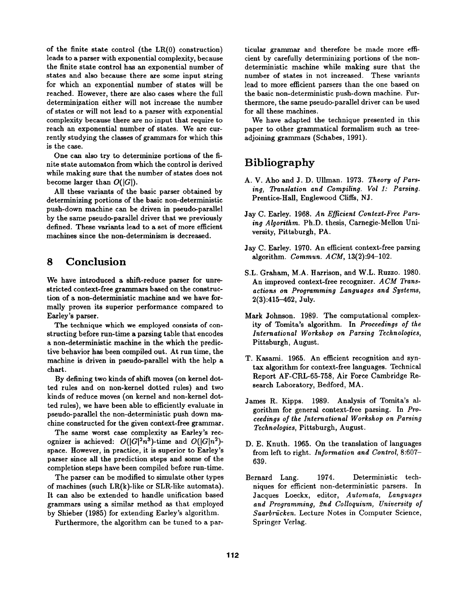of the finite state control (the LR(0) construction) leads to a parser with exponential complexity, because the finite state control has an exponential number of states and also because there are some input string for which an exponential number of states will be reached. However, there are also cases where the full determinization either will not increase the number of states or will not lead to a parser with exponential complexity because there are no input that require to reach an exponential number of states. We are currently studying the classes of grammars for which this is the case.

One can also try to determinize portions of the finite state automaton from which the control is derived while making sure that the number of states does not become larger than  $O(|G|)$ .

All these variants of the basic parser obtained by determinizing portions of the basic non-deterministic push-down machine can be driven in pseudo-parallel by the same pseudo-parallel driver that we previously defined. These variants lead to a set of more efficient machines since the non-determinism is decreased.

## **8 Conclusion**

We have introduced a shift-reduce parser for unrestricted context-free grammars based on the construction of a non-deterministic machine and we have formally proven its superior performance compared to Earley's parser.

The technique which we employed consists of constructing before run-time a parsing table that encodes a non-deterministic machine in the which the predictive behavior has been compiled out. At run time, the machine is driven in pseudo-parallel with the help a chart.

By defining two kinds of shift moves (on kernel dotted rules and on non-kernel dotted rules) and two kinds of reduce moves (on kernel and non-kernel dotted rules), we have been able to efficiently evaluate in pseudo-parallel the non-deterministic push down machine constructed for the given context-free grammar.

The same worst case complexity as Earley's recognizer is achieved:  $O(|G|^2n^3)$ -time and  $O(|G|n^2)$ space. However, in practice, it is superior to Earley's parser since all the prediction steps and some of the completion steps have been compiled before run-time.

The parser can be modified to simulate other types of machines (such LR(k)-like or SLR-like automata). It can also be extended to handle unification based grammars using a similar method as that employed by Shieber (1985) for extending Earley's algorithm.

Furthermore, the algorithm can be tuned to a par-

ticular grammar and therefore be made more efficient by carefully determinizing portions of the nondeterministic machine while making sure that the number of states in not increased. These variants lead to more efficient parsers than the one based on the basic non-deterministic push-down machine. Furthermore, the same pseudo-parallel driver can be used for all these machines.

We have adapted the technique presented in this paper to other grammatical formalism such as treeadjoining grammars (Schabes, 1991).

# **Bibliography**

- A. V. Aho and J. D. Ullman. 1973. *Theory of Parsing, Translation and Compiling. Vol I: Parsing.*  Prentice-Hall, Englewood Cliffs, NJ.
- Jay C. Earley. 1968. *An Efficient Context-Free Parsing Algorithm.* Ph.D. thesis, Carnegie-Mellon University, Pittsburgh, PA.
- Jay C. Earley. 1970. An efficient context-free parsing algorithm. *Commun. ACM,* 13(2):94-102.
- S.L. Graham, M.A. Harrison, and W.L. Ruzzo. 1980. An improved context-free recognizer. *ACM Transactions on Programming Languages and Systems,*  2(3):415-462, July.
- Mark Johnson. 1989. The computational complexity of Tomlta's algorithm. In *Proceedings of the International Workshop on Parsing Technologies,*  Pittsburgh, August.
- T. Kasami. 1965. An efficient recognition and syntax algorithm for context-free languages. Technical Report AF-CRL-65-758, Air Force Cambridge Research Laboratory, Bedford, MA.
- James R. Kipps. 1989. Analysis of Tomita's algorithm for general context-free parsing. In Pro*ceedings of the International Workshop on Parsing Technologies,* Pittsburgh, August.
- D. E. Knuth. 1965. On the translation of languages from left to right. *Information and Control,* 8:607- 639.
- Bernard Lang. 1974. Deterministic techniques for efficient non-deterministic parsers. In Jacques Loeckx, editor, *Automata, Languages and Programming, 2nd Colloquium, University of Saarbrücken.* Lecture Notes in Computer Science, Springer Verlag.